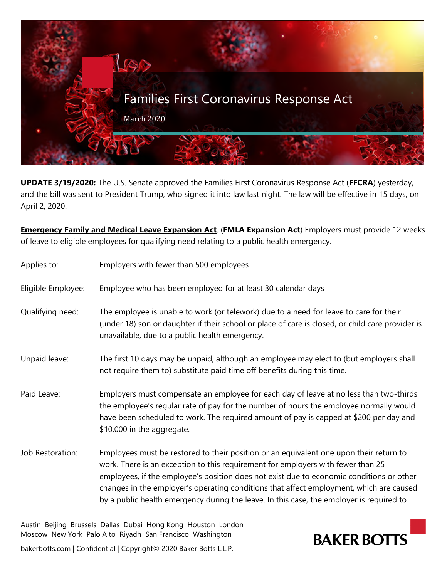

**UPDATE 3/19/2020:** The U.S. Senate approved the Families First Coronavirus Response Act (**FFCRA**) yesterday, and the bill was sent to President Trump, who signed it into law last night. The law will be effective in 15 days, on April 2, 2020.

**Emergency Family and Medical Leave Expansion Act**. (**FMLA Expansion Act**) Employers must provide 12 weeks of leave to eligible employees for qualifying need relating to a public health emergency.

| Applies to:        | Employers with fewer than 500 employees                                                                                                                                                                                                                                                                                                                                                                                                                       |
|--------------------|---------------------------------------------------------------------------------------------------------------------------------------------------------------------------------------------------------------------------------------------------------------------------------------------------------------------------------------------------------------------------------------------------------------------------------------------------------------|
| Eligible Employee: | Employee who has been employed for at least 30 calendar days                                                                                                                                                                                                                                                                                                                                                                                                  |
| Qualifying need:   | The employee is unable to work (or telework) due to a need for leave to care for their<br>(under 18) son or daughter if their school or place of care is closed, or child care provider is<br>unavailable, due to a public health emergency.                                                                                                                                                                                                                  |
| Unpaid leave:      | The first 10 days may be unpaid, although an employee may elect to (but employers shall<br>not require them to) substitute paid time off benefits during this time.                                                                                                                                                                                                                                                                                           |
| Paid Leave:        | Employers must compensate an employee for each day of leave at no less than two-thirds<br>the employee's regular rate of pay for the number of hours the employee normally would<br>have been scheduled to work. The required amount of pay is capped at \$200 per day and<br>\$10,000 in the aggregate.                                                                                                                                                      |
| Job Restoration:   | Employees must be restored to their position or an equivalent one upon their return to<br>work. There is an exception to this requirement for employers with fewer than 25<br>employees, if the employee's position does not exist due to economic conditions or other<br>changes in the employer's operating conditions that affect employment, which are caused<br>by a public health emergency during the leave. In this case, the employer is required to |

Austin Beijing Brussels Dallas Dubai Hong Kong Houston London Moscow New York Palo Alto Riyadh San Francisco Washington



bakerbotts.com | Confidential | Copyright© 2020 Baker Botts L.L.P.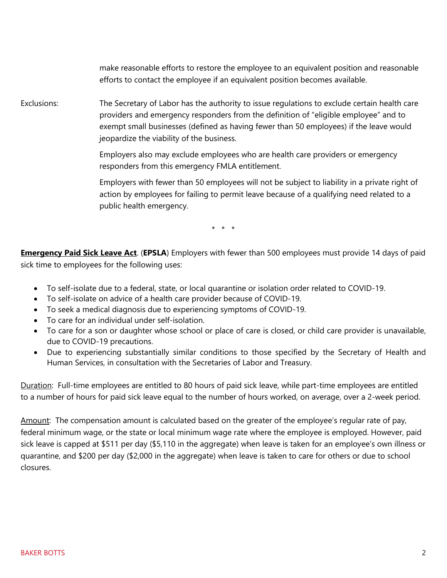make reasonable efforts to restore the employee to an equivalent position and reasonable efforts to contact the employee if an equivalent position becomes available.

Exclusions: The Secretary of Labor has the authority to issue regulations to exclude certain health care providers and emergency responders from the definition of "eligible employee" and to exempt small businesses (defined as having fewer than 50 employees) if the leave would jeopardize the viability of the business.

> Employers also may exclude employees who are health care providers or emergency responders from this emergency FMLA entitlement.

Employers with fewer than 50 employees will not be subject to liability in a private right of action by employees for failing to permit leave because of a qualifying need related to a public health emergency.

\* \* \*

**Emergency Paid Sick Leave Act**. (**EPSLA**) Employers with fewer than 500 employees must provide 14 days of paid sick time to employees for the following uses:

- To self-isolate due to a federal, state, or local quarantine or isolation order related to COVID-19.
- To self-isolate on advice of a health care provider because of COVID-19.
- To seek a medical diagnosis due to experiencing symptoms of COVID-19.
- To care for an individual under self-isolation.
- To care for a son or daughter whose school or place of care is closed, or child care provider is unavailable, due to COVID-19 precautions.
- Due to experiencing substantially similar conditions to those specified by the Secretary of Health and Human Services, in consultation with the Secretaries of Labor and Treasury.

Duration: Full-time employees are entitled to 80 hours of paid sick leave, while part-time employees are entitled to a number of hours for paid sick leave equal to the number of hours worked, on average, over a 2-week period.

Amount: The compensation amount is calculated based on the greater of the employee's regular rate of pay, federal minimum wage, or the state or local minimum wage rate where the employee is employed. However, paid sick leave is capped at \$511 per day (\$5,110 in the aggregate) when leave is taken for an employee's own illness or quarantine, and \$200 per day (\$2,000 in the aggregate) when leave is taken to care for others or due to school closures.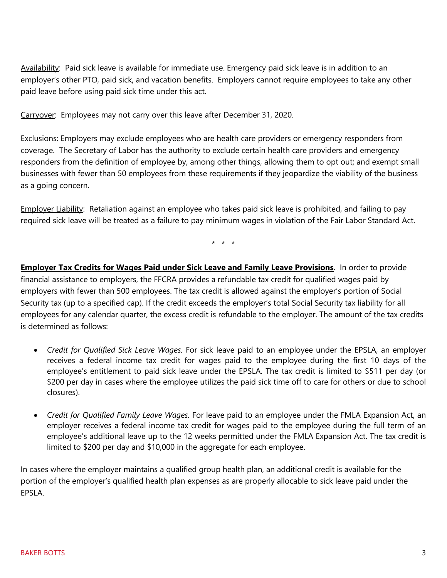Availability: Paid sick leave is available for immediate use. Emergency paid sick leave is in addition to an employer's other PTO, paid sick, and vacation benefits. Employers cannot require employees to take any other paid leave before using paid sick time under this act.

Carryover: Employees may not carry over this leave after December 31, 2020.

**Exclusions: Employers may exclude employees who are health care providers or emergency responders from** coverage. The Secretary of Labor has the authority to exclude certain health care providers and emergency responders from the definition of employee by, among other things, allowing them to opt out; and exempt small businesses with fewer than 50 employees from these requirements if they jeopardize the viability of the business as a going concern.

Employer Liability: Retaliation against an employee who takes paid sick leave is prohibited, and failing to pay required sick leave will be treated as a failure to pay minimum wages in violation of the Fair Labor Standard Act.

\* \* \*

**Employer Tax Credits for Wages Paid under Sick Leave and Family Leave Provisions**. In order to provide financial assistance to employers, the FFCRA provides a refundable tax credit for qualified wages paid by employers with fewer than 500 employees. The tax credit is allowed against the employer's portion of Social Security tax (up to a specified cap). If the credit exceeds the employer's total Social Security tax liability for all employees for any calendar quarter, the excess credit is refundable to the employer. The amount of the tax credits is determined as follows:

- *Credit for Qualified Sick Leave Wages.* For sick leave paid to an employee under the EPSLA, an employer receives a federal income tax credit for wages paid to the employee during the first 10 days of the employee's entitlement to paid sick leave under the EPSLA. The tax credit is limited to \$511 per day (or \$200 per day in cases where the employee utilizes the paid sick time off to care for others or due to school closures).
- *Credit for Qualified Family Leave Wages.* For leave paid to an employee under the FMLA Expansion Act, an employer receives a federal income tax credit for wages paid to the employee during the full term of an employee's additional leave up to the 12 weeks permitted under the FMLA Expansion Act. The tax credit is limited to \$200 per day and \$10,000 in the aggregate for each employee.

In cases where the employer maintains a qualified group health plan, an additional credit is available for the portion of the employer's qualified health plan expenses as are properly allocable to sick leave paid under the EPSLA.